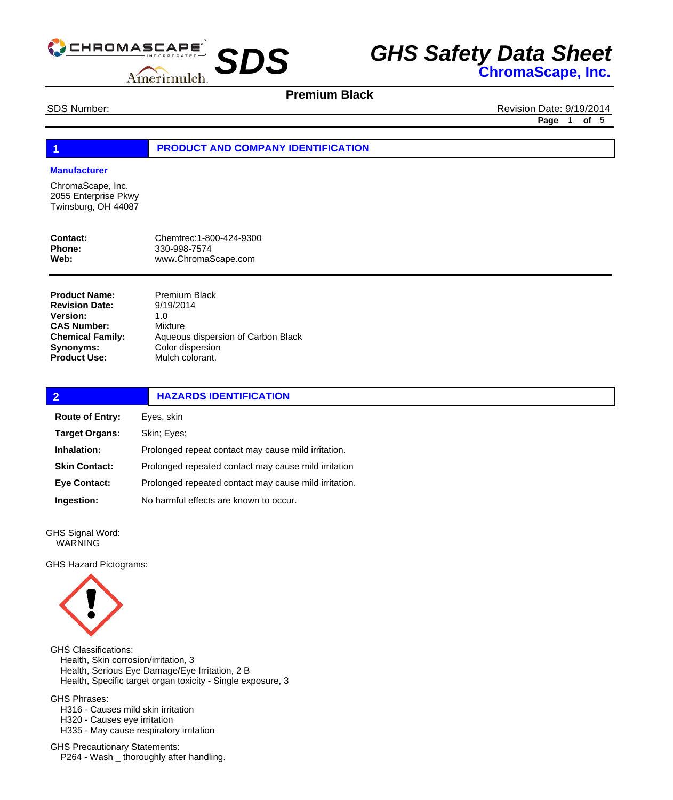

# **Premium Black**

SDS Number: **Revision Date: 9/19/2014 Page** 1 **of** 5

### **1 PRODUCT AND COMPANY IDENTIFICATION**

#### **Manufacturer**

ChromaScape, Inc. 2055 Enterprise Pkwy Twinsburg, OH 44087

| <b>Contact:</b> | Chemtrec: 1-800-424-9300 |
|-----------------|--------------------------|
| Phone:          | 330-998-7574             |
| Web:            | www.ChromaScape.com      |

| <b>Product Name:</b>    | <b>Premium Black</b>               |
|-------------------------|------------------------------------|
| <b>Revision Date:</b>   | 9/19/2014                          |
| <b>Version:</b>         | 1. $\Omega$                        |
| <b>CAS Number:</b>      | Mixture                            |
| <b>Chemical Family:</b> | Aqueous dispersion of Carbon Black |
| Synonyms:               | Color dispersion                   |
| <b>Product Use:</b>     | Mulch colorant.                    |
|                         |                                    |

| $\overline{2}$         | <b>HAZARDS IDENTIFICATION</b>                         |  |
|------------------------|-------------------------------------------------------|--|
| <b>Route of Entry:</b> | Eyes, skin                                            |  |
| <b>Target Organs:</b>  | Skin; Eyes;                                           |  |
| Inhalation:            | Prolonged repeat contact may cause mild irritation.   |  |
| <b>Skin Contact:</b>   | Prolonged repeated contact may cause mild irritation  |  |
| <b>Eye Contact:</b>    | Prolonged repeated contact may cause mild irritation. |  |
| Ingestion:             | No harmful effects are known to occur.                |  |

GHS Signal Word: WARNING

GHS Hazard Pictograms:



GHS Classifications: Health, Skin corrosion/irritation, 3 Health, Serious Eye Damage/Eye Irritation, 2 B Health, Specific target organ toxicity - Single exposure, 3

GHS Phrases:

 H316 - Causes mild skin irritation H320 - Causes eye irritation H335 - May cause respiratory irritation

GHS Precautionary Statements: P264 - Wash \_ thoroughly after handling.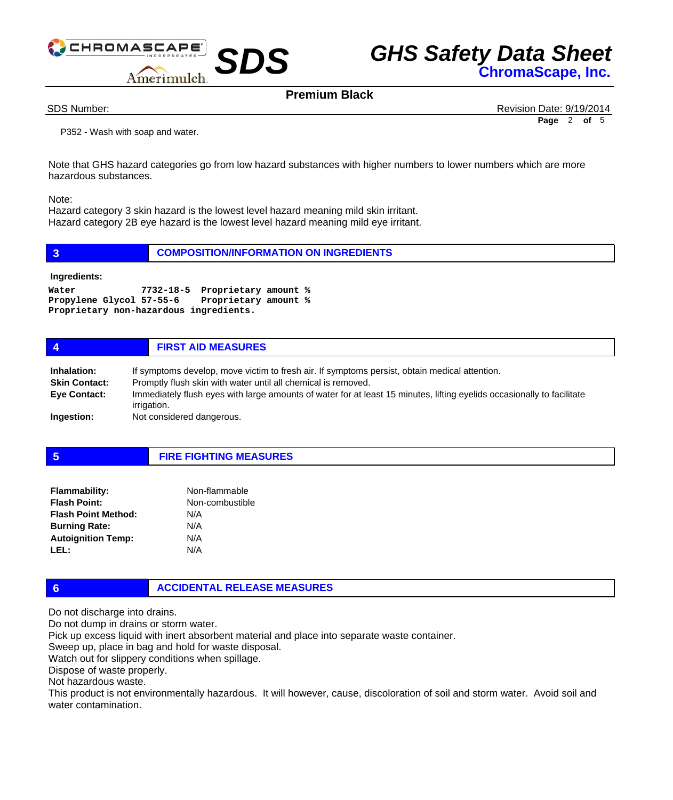



**Premium Black**

SDS Number: Revision Date: 9/19/2014 **Page** 2 **of** 5

 P352 - Wash with soap and water.

Note that GHS hazard categories go from low hazard substances with higher numbers to lower numbers which are more hazardous substances.

Note:

Hazard category 3 skin hazard is the lowest level hazard meaning mild skin irritant. Hazard category 2B eye hazard is the lowest level hazard meaning mild eye irritant.

|  | <b>COMPOSITION/INFORMATION ON INGREDIENTS</b> |
|--|-----------------------------------------------|
|--|-----------------------------------------------|

**Ingredients:**

```
Water 7732-18-5 Proprietary amount % 
Propylene Glycol 57-55-6 Proprietary amount % 
Proprietary non-hazardous ingredients.
```

| $\boldsymbol{4}$                    | <b>FIRST AID MEASURES</b>                                                                                                                                      |
|-------------------------------------|----------------------------------------------------------------------------------------------------------------------------------------------------------------|
| Inhalation:<br><b>Skin Contact:</b> | If symptoms develop, move victim to fresh air. If symptoms persist, obtain medical attention.<br>Promptly flush skin with water until all chemical is removed. |
| <b>Eye Contact:</b>                 | Immediately flush eyes with large amounts of water for at least 15 minutes, lifting eyelids occasionally to facilitate<br>irrigation.                          |
| Ingestion:                          | Not considered dangerous.                                                                                                                                      |

#### **5 FIRE FIGHTING MEASURES**

| <b>Flammability:</b>       | Non-flammable   |
|----------------------------|-----------------|
| <b>Flash Point:</b>        | Non-combustible |
| <b>Flash Point Method:</b> | N/A             |
| <b>Burning Rate:</b>       | N/A             |
| <b>Autoignition Temp:</b>  | N/A             |
| IFL:                       | N/A             |

**6 ACCIDENTAL RELEASE MEASURES**

Do not discharge into drains.

Do not dump in drains or storm water.

Pick up excess liquid with inert absorbent material and place into separate waste container.

Sweep up, place in bag and hold for waste disposal.

Watch out for slippery conditions when spillage.

Dispose of waste properly.

Not hazardous waste.

This product is not environmentally hazardous. It will however, cause, discoloration of soil and storm water. Avoid soil and water contamination.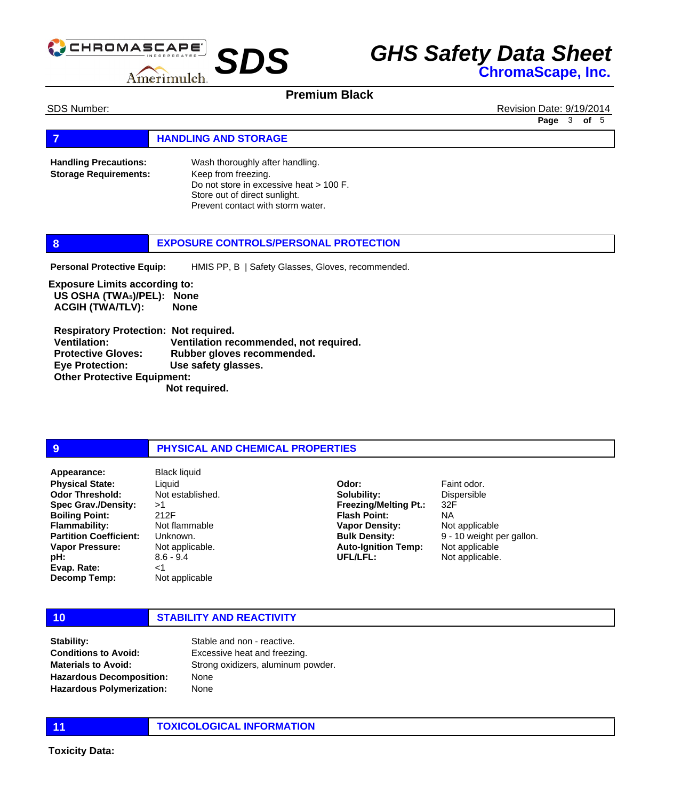

### **Premium Black**

SDS Number: **Revision Date: 9/19/2014** 

**Page** 3 **of** 5

**FIGURE 12 IN STORAGE** 

Wash thoroughly after handling. Keep from freezing. Do not store in excessive heat > 100 F. Store out of direct sunlight. Prevent contact with storm water. **Handling Precautions: Storage Requirements:**

### **8 EXPOSURE CONTROLS/PERSONAL PROTECTION**

HMIS PP, B | Safety Glasses, Gloves, recommended. **Personal Protective Equip:**

**Exposure Limits according to: US OSHA (TWA5)/PEL): None ACGIH (TWA/TLV): None** 

 **Respiratory Protection: Not required. Ventilation: Ventilation recommended, not required. Protective Gloves: Rubber gloves recommended. Eye Protection: Use safety glasses. Other Protective Equipment: Not required.** 

### **9 PHYSICAL AND CHEMICAL PROPERTIES**

**Physical State: Odor Threshold: Spec Grav./Density: Boiling Point: Flammability: Partition Coefficient: Vapor Pressure: pH: Evap. Rate: Decomp Temp:** Appearance: Black liquid

Liquid Not established. >1 212F Not flammable Unknown. Not applicable. 8.6 - 9.4  $<1$ Not applicable

**Solubility: Freezing/Melting Pt.: Flash Point: Vapor Density: Bulk Density: Auto-Ignition Temp: UFL/LFL:**

**Odor:**

Faint odor. Dispersible 32F NA Not applicable 9 - 10 weight per gallon. Not applicable Not applicable.

# **10 STABILITY AND REACTIVITY**

**Stability: Conditions to Avoid: Materials to Avoid: Hazardous Decomposition: Hazardous Polymerization:**

Stable and non - reactive. Excessive heat and freezing. Strong oxidizers, aluminum powder. None None

**11 TOXICOLOGICAL INFORMATION**

**Toxicity Data:**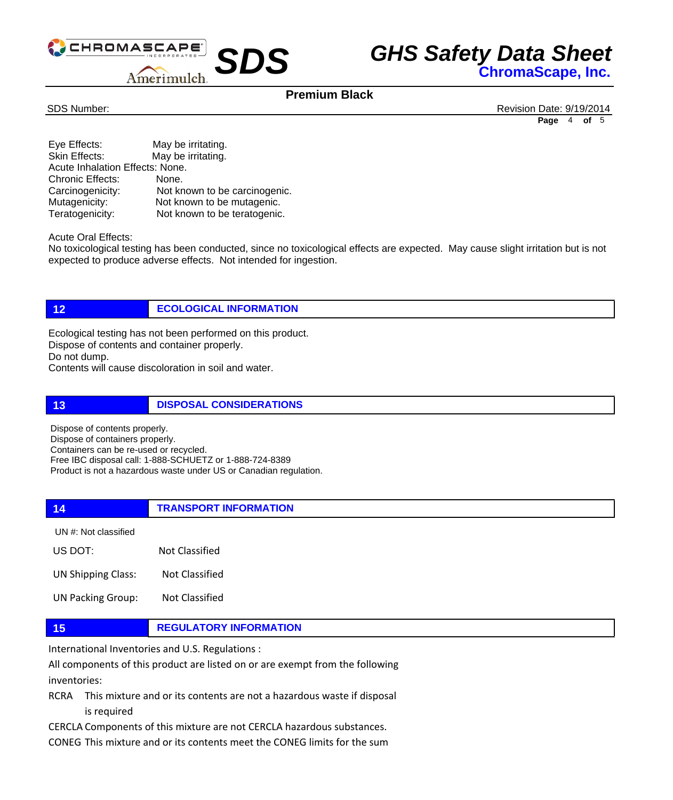

### **Premium Black**

SDS Number: Revision Date: 9/19/2014 **Page** 4 **of** 5

| Eye Effects:                    | May be irritating.            |  |
|---------------------------------|-------------------------------|--|
| Skin Effects:                   | May be irritating.            |  |
| Acute Inhalation Effects: None. |                               |  |
| <b>Chronic Effects:</b>         | None.                         |  |
| Carcinogenicity:                | Not known to be carcinogenic. |  |
| Mutagenicity:                   | Not known to be mutagenic.    |  |
| Teratogenicity:                 | Not known to be teratogenic.  |  |

Acute Oral Effects:

No toxicological testing has been conducted, since no toxicological effects are expected. May cause slight irritation but is not expected to produce adverse effects. Not intended for ingestion.

# **12 ECOLOGICAL INFORMATION**

Ecological testing has not been performed on this product. Dispose of contents and container properly. Do not dump.

Contents will cause discoloration in soil and water.

**13 DISPOSAL CONSIDERATIONS**

Dispose of contents properly. Dispose of containers properly. Containers can be re-used or recycled. Free IBC disposal call: 1-888-SCHUETZ or 1-888-724-8389 Product is not a hazardous waste under US or Canadian regulation.

### **14 TRANSPORT INFORMATION**

UN #: Not classified

US DOT: Not Classified

UN Shipping Class: Not Classified

UN Packing Group: Not Classified

**15 REGULATORY INFORMATION**

International Inventories and U.S. Regulations :

All components of this product are listed on or are exempt from the following inventories:

RCRA This mixture and or its contents are not a hazardous waste if disposal is required

CERCLA Components of this mixture are not CERCLA hazardous substances.

CONEG This mixture and or its contents meet the CONEG limits for the sum